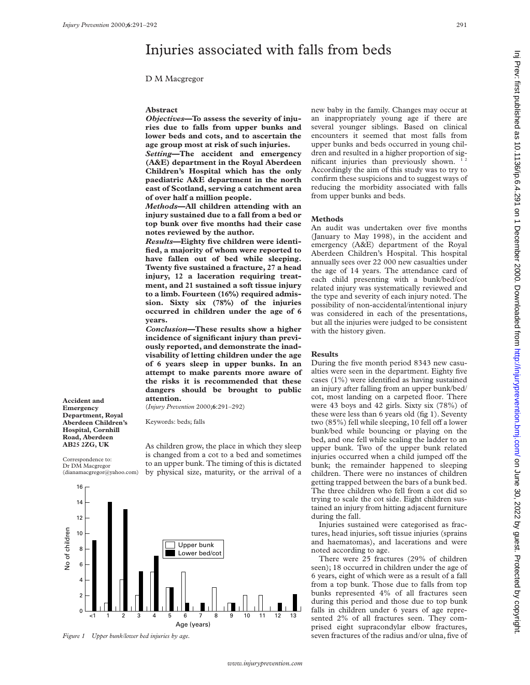# Injuries associated with falls from beds

## D M Macgregor

#### **Abstract**

*Objectives***—To assess the severity of injuries due to falls from upper bunks and lower beds and cots, and to ascertain the age group most at risk of such injuries.**

*Setting***—The accident and emergency (A&E) department in the Royal Aberdeen Children's Hospital which has the only paediatric A&E department in the north east of Scotland, serving a catchment area of over half a million people.**

*Methods***—All children attending with an injury sustained due to a fall from a bed or top bunk over five months had their case notes reviewed by the author.**

*Results***—Eighty five children were identified, a majority of whom were reported to have fallen out of bed while sleeping. Twenty five sustained a fracture, 27 a head injury, 12 a laceration requiring treatment, and 21 sustained a soft tissue injury to a limb. Fourteen (16%) required admission. Sixty six (78%) of the injuries occurred in children under the age of 6 years.**

*Conclusion***—These results show a higher incidence of significant injury than previously reported, and demonstrate the inadvisability of letting children under the age of 6 years sleep in upper bunks. In an attempt to make parents more aware of the risks it is recommended that these dangers should be brought to public attention.**

(*Injury Prevention* 2000;**6**:291–292)

Keywords: beds; falls

**Accident and Emergency Department, Royal Aberdeen Children's Hospital, Cornhill Road, Aberdeen AB25 2ZG, UK**

> 16 14

Correspondence to: Dr DM Macgregor (dianamacgregor@yahoo.com)

As children grow, the place in which they sleep is changed from a cot to a bed and sometimes to an upper bunk. The timing of this is dictated by physical size, maturity, or the arrival of a



new baby in the family. Changes may occur at an inappropriately young age if there are several younger siblings. Based on clinical encounters it seemed that most falls from upper bunks and beds occurred in young children and resulted in a higher proportion of significant injuries than previously shown. Accordingly the aim of this study was to try to confirm these suspicions and to suggest ways of reducing the morbidity associated with falls from upper bunks and beds.

#### **Methods**

An audit was undertaken over five months (January to May 1998), in the accident and emergency (A&E) department of the Royal Aberdeen Children's Hospital. This hospital annually sees over 22 000 new casualties under the age of 14 years. The attendance card of each child presenting with a bunk/bed/cot related injury was systematically reviewed and the type and severity of each injury noted. The possibility of non-accidental/intentional injury was considered in each of the presentations, but all the injuries were judged to be consistent with the history given.

#### **Results**

During the five month period 8343 new casualties were seen in the department. Eighty five cases (1%) were identified as having sustained an injury after falling from an upper bunk/bed/ cot, most landing on a carpeted floor. There were 43 boys and 42 girls. Sixty six (78%) of these were less than 6 years old (fig 1). Seventy two (85%) fell while sleeping, 10 fell off a lower bunk/bed while bouncing or playing on the bed, and one fell while scaling the ladder to an upper bunk. Two of the upper bunk related injuries occurred when a child jumped off the bunk; the remainder happened to sleeping children. There were no instances of children getting trapped between the bars of a bunk bed. The three children who fell from a cot did so trying to scale the cot side. Eight children sustained an injury from hitting adjacent furniture during the fall.

Injuries sustained were categorised as fractures, head injuries, soft tissue injuries (sprains and haematomas), and lacerations and were noted according to age.

There were 25 fractures (29% of children seen); 18 occurred in children under the age of 6 years, eight of which were as a result of a fall from a top bunk. Those due to falls from top bunks represented 4% of all fractures seen during this period and those due to top bunk falls in children under 6 years of age represented 2% of all fractures seen. They comprised eight supracondylar elbow fractures, *Figure 1 Upper bunk/lower bed injuries by age.* seven fractures of the radius and/or ulna, five of